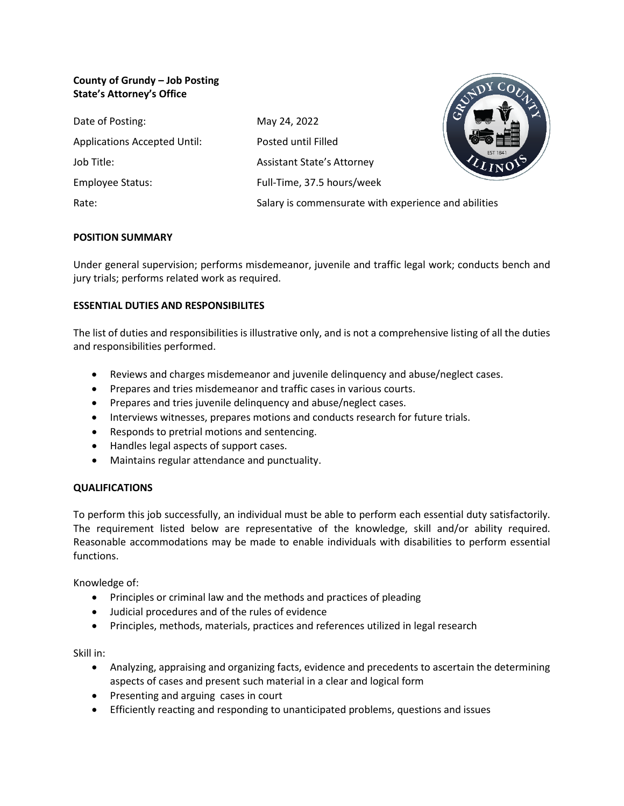# **County of Grundy – Job Posting State's Attorney's Office**

| Date of Posting:                    | May 24, 2022                                         |  |
|-------------------------------------|------------------------------------------------------|--|
| <b>Applications Accepted Until:</b> | Posted until Filled                                  |  |
| Job Title:                          | <b>Assistant State's Attorney</b>                    |  |
| Employee Status:                    | Full-Time, 37.5 hours/week                           |  |
| Rate:                               | Salary is commensurate with experience and abilities |  |

# **POSITION SUMMARY**

Under general supervision; performs misdemeanor, juvenile and traffic legal work; conducts bench and jury trials; performs related work as required.

# **ESSENTIAL DUTIES AND RESPONSIBILITES**

The list of duties and responsibilities is illustrative only, and is not a comprehensive listing of all the duties and responsibilities performed.

- Reviews and charges misdemeanor and juvenile delinquency and abuse/neglect cases.
- Prepares and tries misdemeanor and traffic cases in various courts.
- Prepares and tries juvenile delinquency and abuse/neglect cases.
- Interviews witnesses, prepares motions and conducts research for future trials.
- Responds to pretrial motions and sentencing.
- Handles legal aspects of support cases.
- Maintains regular attendance and punctuality.

# **QUALIFICATIONS**

To perform this job successfully, an individual must be able to perform each essential duty satisfactorily. The requirement listed below are representative of the knowledge, skill and/or ability required. Reasonable accommodations may be made to enable individuals with disabilities to perform essential functions.

Knowledge of:

- Principles or criminal law and the methods and practices of pleading
- Judicial procedures and of the rules of evidence
- Principles, methods, materials, practices and references utilized in legal research

Skill in:

- Analyzing, appraising and organizing facts, evidence and precedents to ascertain the determining aspects of cases and present such material in a clear and logical form
- Presenting and arguing cases in court
- Efficiently reacting and responding to unanticipated problems, questions and issues